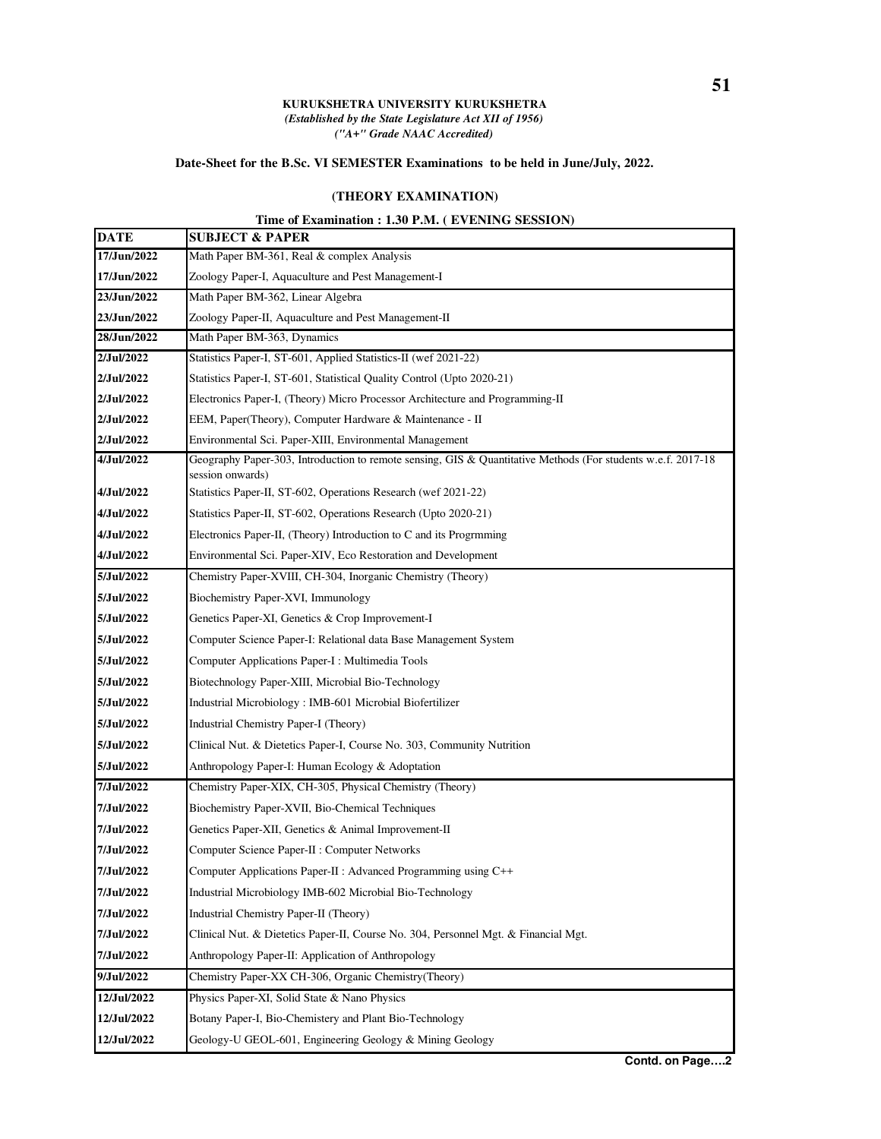## **KURUKSHETRA UNIVERSITY KURUKSHETRA** *(Established by the State Legislature Act XII of 1956) ("A+" Grade NAAC Accredited)*

## **Date-Sheet for the B.Sc. VI SEMESTER Examinations to be held in June/July, 2022.**

## **(THEORY EXAMINATION)**

## **Time of Examination : 1.30 P.M. ( EVENING SESSION)**

| <b>DATE</b> | <b>SUBJECT &amp; PAPER</b>                                                                                                        |
|-------------|-----------------------------------------------------------------------------------------------------------------------------------|
| 17/Jun/2022 | Math Paper BM-361, Real & complex Analysis                                                                                        |
| 17/Jun/2022 | Zoology Paper-I, Aquaculture and Pest Management-I                                                                                |
| 23/Jun/2022 | Math Paper BM-362, Linear Algebra                                                                                                 |
| 23/Jun/2022 | Zoology Paper-II, Aquaculture and Pest Management-II                                                                              |
| 28/Jun/2022 | Math Paper BM-363, Dynamics                                                                                                       |
| 2/Jul/2022  | Statistics Paper-I, ST-601, Applied Statistics-II (wef 2021-22)                                                                   |
| 2/Jul/2022  | Statistics Paper-I, ST-601, Statistical Quality Control (Upto 2020-21)                                                            |
| 2/Jul/2022  | Electronics Paper-I, (Theory) Micro Processor Architecture and Programming-II                                                     |
| 2/Jul/2022  | EEM, Paper(Theory), Computer Hardware & Maintenance - II                                                                          |
| 2/Jul/2022  | Environmental Sci. Paper-XIII, Environmental Management                                                                           |
| 4/Jul/2022  | Geography Paper-303, Introduction to remote sensing, GIS & Quantitative Methods (For students w.e.f. 2017-18)<br>session onwards) |
| 4/Jul/2022  | Statistics Paper-II, ST-602, Operations Research (wef 2021-22)                                                                    |
| 4/Jul/2022  | Statistics Paper-II, ST-602, Operations Research (Upto 2020-21)                                                                   |
| 4/Jul/2022  | Electronics Paper-II, (Theory) Introduction to C and its Progrmming                                                               |
| 4/Jul/2022  | Environmental Sci. Paper-XIV, Eco Restoration and Development                                                                     |
| 5/Jul/2022  | Chemistry Paper-XVIII, CH-304, Inorganic Chemistry (Theory)                                                                       |
| 5/Jul/2022  | Biochemistry Paper-XVI, Immunology                                                                                                |
| 5/Jul/2022  | Genetics Paper-XI, Genetics & Crop Improvement-I                                                                                  |
| 5/Jul/2022  | Computer Science Paper-I: Relational data Base Management System                                                                  |
| 5/Jul/2022  | Computer Applications Paper-I : Multimedia Tools                                                                                  |
| 5/Jul/2022  | Biotechnology Paper-XIII, Microbial Bio-Technology                                                                                |
| 5/Jul/2022  | Industrial Microbiology: IMB-601 Microbial Biofertilizer                                                                          |
| 5/Jul/2022  | Industrial Chemistry Paper-I (Theory)                                                                                             |
| 5/Jul/2022  | Clinical Nut. & Dietetics Paper-I, Course No. 303, Community Nutrition                                                            |
| 5/Jul/2022  | Anthropology Paper-I: Human Ecology & Adoptation                                                                                  |
| 7/Jul/2022  | Chemistry Paper-XIX, CH-305, Physical Chemistry (Theory)                                                                          |
| 7/Jul/2022  | Biochemistry Paper-XVII, Bio-Chemical Techniques                                                                                  |
| 7/Jul/2022  | Genetics Paper-XII, Genetics & Animal Improvement-II                                                                              |
| 7/Jul/2022  | Computer Science Paper-II : Computer Networks                                                                                     |
| 7/Jul/2022  | Computer Applications Paper-II : Advanced Programming using C++                                                                   |
| 7/Jul/2022  | Industrial Microbiology IMB-602 Microbial Bio-Technology                                                                          |
| 7/Jul/2022  | Industrial Chemistry Paper-II (Theory)                                                                                            |
| 7/Jul/2022  | Clinical Nut. & Dietetics Paper-II, Course No. 304, Personnel Mgt. & Financial Mgt.                                               |
| 7/Jul/2022  | Anthropology Paper-II: Application of Anthropology                                                                                |
| 9/Jul/2022  | Chemistry Paper-XX CH-306, Organic Chemistry(Theory)                                                                              |
| 12/Jul/2022 | Physics Paper-XI, Solid State & Nano Physics                                                                                      |
| 12/Jul/2022 | Botany Paper-I, Bio-Chemistery and Plant Bio-Technology                                                                           |
| 12/Jul/2022 | Geology-U GEOL-601, Engineering Geology & Mining Geology                                                                          |
|             |                                                                                                                                   |

**Contd. on Page….2**